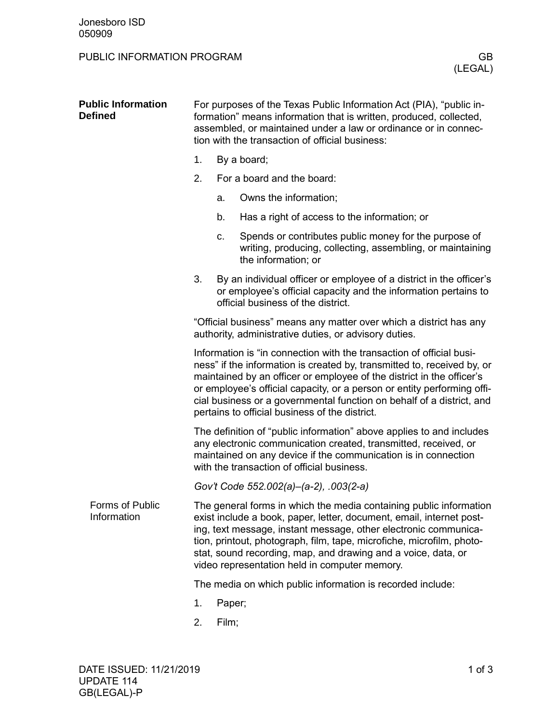## PUBLIC INFORMATION PROGRAM GB

|  | <b>Public Information</b><br><b>Defined</b> | For purposes of the Texas Public Information Act (PIA), "public in-<br>formation" means information that is written, produced, collected,<br>assembled, or maintained under a law or ordinance or in connec-<br>tion with the transaction of official business:                                                                                                                                                                |                            |                                                                                                                                                                              |  |  |
|--|---------------------------------------------|--------------------------------------------------------------------------------------------------------------------------------------------------------------------------------------------------------------------------------------------------------------------------------------------------------------------------------------------------------------------------------------------------------------------------------|----------------------------|------------------------------------------------------------------------------------------------------------------------------------------------------------------------------|--|--|
|  |                                             | 1.                                                                                                                                                                                                                                                                                                                                                                                                                             | By a board;                |                                                                                                                                                                              |  |  |
|  |                                             | 2.                                                                                                                                                                                                                                                                                                                                                                                                                             | For a board and the board: |                                                                                                                                                                              |  |  |
|  |                                             |                                                                                                                                                                                                                                                                                                                                                                                                                                | a.                         | Owns the information;                                                                                                                                                        |  |  |
|  |                                             |                                                                                                                                                                                                                                                                                                                                                                                                                                | b.                         | Has a right of access to the information; or                                                                                                                                 |  |  |
|  |                                             |                                                                                                                                                                                                                                                                                                                                                                                                                                | C.                         | Spends or contributes public money for the purpose of<br>writing, producing, collecting, assembling, or maintaining<br>the information; or                                   |  |  |
|  |                                             | 3.                                                                                                                                                                                                                                                                                                                                                                                                                             |                            | By an individual officer or employee of a district in the officer's<br>or employee's official capacity and the information pertains to<br>official business of the district. |  |  |
|  |                                             | "Official business" means any matter over which a district has any<br>authority, administrative duties, or advisory duties.                                                                                                                                                                                                                                                                                                    |                            |                                                                                                                                                                              |  |  |
|  |                                             | Information is "in connection with the transaction of official busi-<br>ness" if the information is created by, transmitted to, received by, or<br>maintained by an officer or employee of the district in the officer's<br>or employee's official capacity, or a person or entity performing offi-<br>cial business or a governmental function on behalf of a district, and<br>pertains to official business of the district. |                            |                                                                                                                                                                              |  |  |
|  |                                             | The definition of "public information" above applies to and includes<br>any electronic communication created, transmitted, received, or<br>maintained on any device if the communication is in connection<br>with the transaction of official business.                                                                                                                                                                        |                            |                                                                                                                                                                              |  |  |
|  |                                             | Gov't Code 552.002(a)-(a-2), .003(2-a)                                                                                                                                                                                                                                                                                                                                                                                         |                            |                                                                                                                                                                              |  |  |
|  | Forms of Public<br>Information              | The general forms in which the media containing public information<br>exist include a book, paper, letter, document, email, internet post-<br>ing, text message, instant message, other electronic communica-<br>tion, printout, photograph, film, tape, microfiche, microfilm, photo-<br>stat, sound recording, map, and drawing and a voice, data, or<br>video representation held in computer memory.                       |                            |                                                                                                                                                                              |  |  |
|  |                                             | The media on which public information is recorded include:                                                                                                                                                                                                                                                                                                                                                                     |                            |                                                                                                                                                                              |  |  |
|  |                                             | 1.                                                                                                                                                                                                                                                                                                                                                                                                                             | Paper;                     |                                                                                                                                                                              |  |  |
|  |                                             | 2.                                                                                                                                                                                                                                                                                                                                                                                                                             | Film;                      |                                                                                                                                                                              |  |  |
|  |                                             |                                                                                                                                                                                                                                                                                                                                                                                                                                |                            |                                                                                                                                                                              |  |  |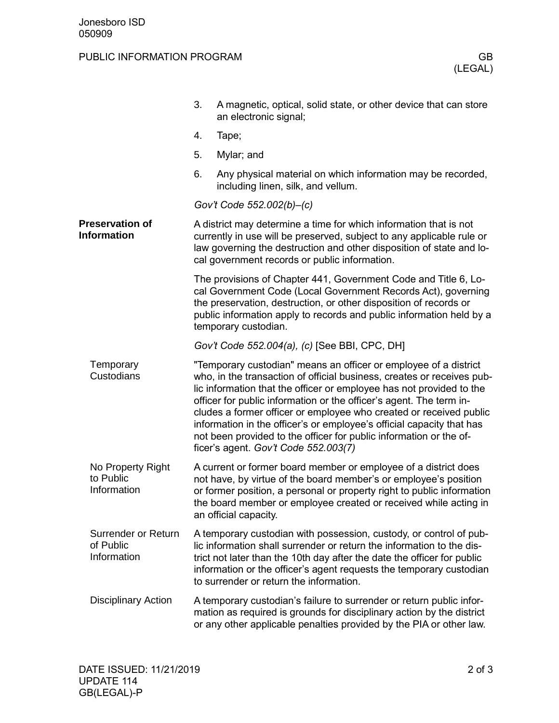## PUBLIC INFORMATION PROGRAM GB

|                                                 | 3.                                                                                                                                                                                                                                                                  | A magnetic, optical, solid state, or other device that can store<br>an electronic signal;                                                                                                                                                                                                                                                                                                                                                                                                                                                              |  |  |
|-------------------------------------------------|---------------------------------------------------------------------------------------------------------------------------------------------------------------------------------------------------------------------------------------------------------------------|--------------------------------------------------------------------------------------------------------------------------------------------------------------------------------------------------------------------------------------------------------------------------------------------------------------------------------------------------------------------------------------------------------------------------------------------------------------------------------------------------------------------------------------------------------|--|--|
|                                                 | 4.                                                                                                                                                                                                                                                                  | Tape;                                                                                                                                                                                                                                                                                                                                                                                                                                                                                                                                                  |  |  |
|                                                 | 5.                                                                                                                                                                                                                                                                  | Mylar; and                                                                                                                                                                                                                                                                                                                                                                                                                                                                                                                                             |  |  |
|                                                 | 6.                                                                                                                                                                                                                                                                  | Any physical material on which information may be recorded,<br>including linen, silk, and vellum.                                                                                                                                                                                                                                                                                                                                                                                                                                                      |  |  |
|                                                 |                                                                                                                                                                                                                                                                     | Gov't Code 552.002(b)-(c)                                                                                                                                                                                                                                                                                                                                                                                                                                                                                                                              |  |  |
| <b>Preservation of</b><br><b>Information</b>    | A district may determine a time for which information that is not<br>currently in use will be preserved, subject to any applicable rule or<br>law governing the destruction and other disposition of state and lo-<br>cal government records or public information. |                                                                                                                                                                                                                                                                                                                                                                                                                                                                                                                                                        |  |  |
|                                                 |                                                                                                                                                                                                                                                                     | The provisions of Chapter 441, Government Code and Title 6, Lo-<br>cal Government Code (Local Government Records Act), governing<br>the preservation, destruction, or other disposition of records or<br>public information apply to records and public information held by a<br>temporary custodian.                                                                                                                                                                                                                                                  |  |  |
|                                                 |                                                                                                                                                                                                                                                                     | Gov't Code 552.004(a), (c) [See BBI, CPC, DH]                                                                                                                                                                                                                                                                                                                                                                                                                                                                                                          |  |  |
| Temporary<br>Custodians                         |                                                                                                                                                                                                                                                                     | "Temporary custodian" means an officer or employee of a district<br>who, in the transaction of official business, creates or receives pub-<br>lic information that the officer or employee has not provided to the<br>officer for public information or the officer's agent. The term in-<br>cludes a former officer or employee who created or received public<br>information in the officer's or employee's official capacity that has<br>not been provided to the officer for public information or the of-<br>ficer's agent. Gov't Code 552.003(7) |  |  |
| No Property Right<br>to Public<br>Information   |                                                                                                                                                                                                                                                                     | A current or former board member or employee of a district does<br>not have, by virtue of the board member's or employee's position<br>or former position, a personal or property right to public information<br>the board member or employee created or received while acting in<br>an official capacity.                                                                                                                                                                                                                                             |  |  |
| Surrender or Return<br>of Public<br>Information |                                                                                                                                                                                                                                                                     | A temporary custodian with possession, custody, or control of pub-<br>lic information shall surrender or return the information to the dis-<br>trict not later than the 10th day after the date the officer for public<br>information or the officer's agent requests the temporary custodian<br>to surrender or return the information.                                                                                                                                                                                                               |  |  |
| <b>Disciplinary Action</b>                      |                                                                                                                                                                                                                                                                     | A temporary custodian's failure to surrender or return public infor-<br>mation as required is grounds for disciplinary action by the district<br>or any other applicable penalties provided by the PIA or other law.                                                                                                                                                                                                                                                                                                                                   |  |  |